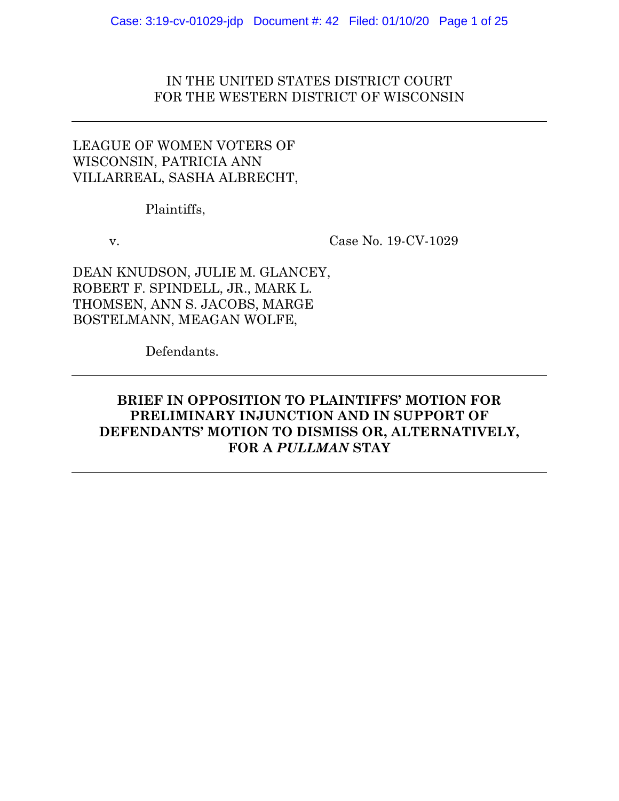# IN THE UNITED STATES DISTRICT COURT FOR THE WESTERN DISTRICT OF WISCONSIN

# LEAGUE OF WOMEN VOTERS OF WISCONSIN, PATRICIA ANN VILLARREAL, SASHA ALBRECHT,

Plaintiffs,

v. Case No. 19-CV-1029

DEAN KNUDSON, JULIE M. GLANCEY, ROBERT F. SPINDELL, JR., MARK L. THOMSEN, ANN S. JACOBS, MARGE BOSTELMANN, MEAGAN WOLFE,

Defendants.

# **BRIEF IN OPPOSITION TO PLAINTIFFS' MOTION FOR PRELIMINARY INJUNCTION AND IN SUPPORT OF DEFENDANTS' MOTION TO DISMISS OR, ALTERNATIVELY, FOR A** *PULLMAN* **STAY**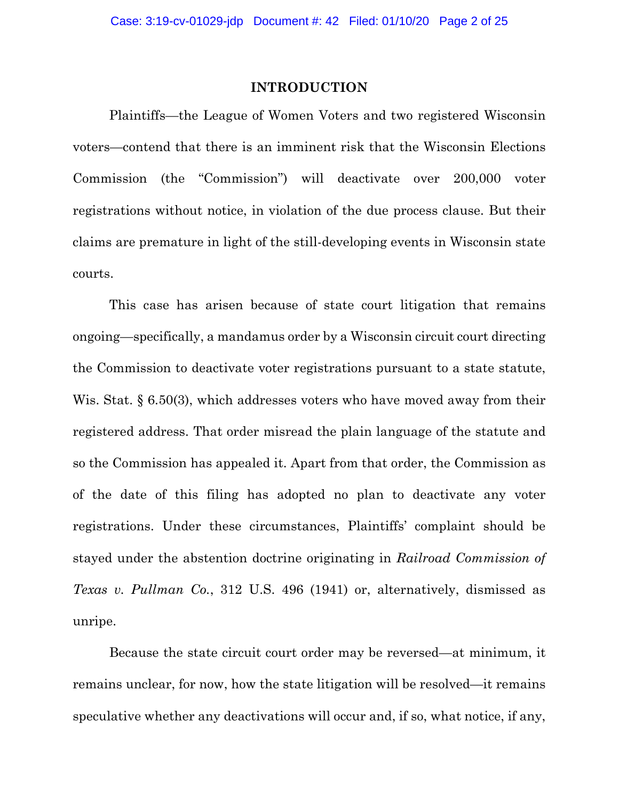### **INTRODUCTION**

Plaintiffs—the League of Women Voters and two registered Wisconsin voters—contend that there is an imminent risk that the Wisconsin Elections Commission (the "Commission") will deactivate over 200,000 voter registrations without notice, in violation of the due process clause. But their claims are premature in light of the still-developing events in Wisconsin state courts.

This case has arisen because of state court litigation that remains ongoing—specifically, a mandamus order by a Wisconsin circuit court directing the Commission to deactivate voter registrations pursuant to a state statute, Wis. Stat. § 6.50(3), which addresses voters who have moved away from their registered address. That order misread the plain language of the statute and so the Commission has appealed it. Apart from that order, the Commission as of the date of this filing has adopted no plan to deactivate any voter registrations. Under these circumstances, Plaintiffs' complaint should be stayed under the abstention doctrine originating in *Railroad Commission of Texas v. Pullman Co.*, 312 U.S. 496 (1941) or, alternatively, dismissed as unripe.

Because the state circuit court order may be reversed—at minimum, it remains unclear, for now, how the state litigation will be resolved—it remains speculative whether any deactivations will occur and, if so, what notice, if any,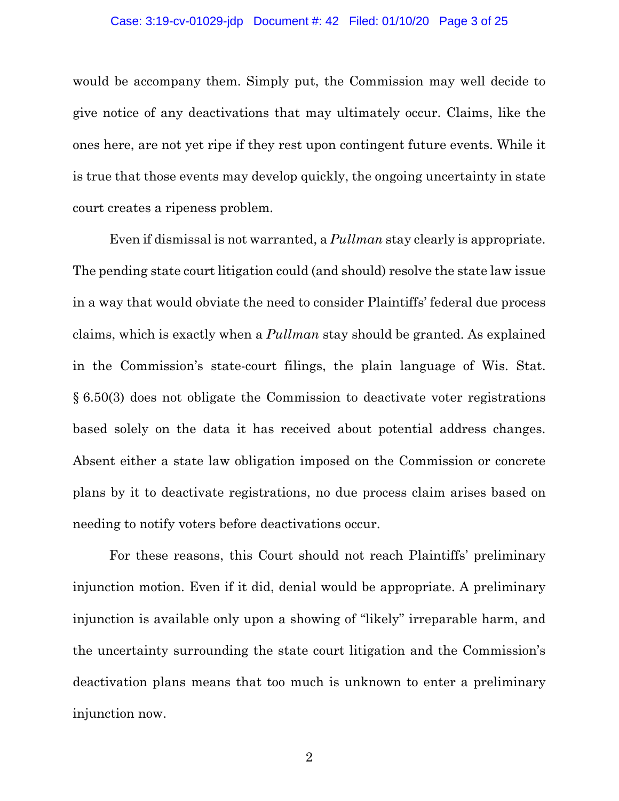#### Case: 3:19-cv-01029-jdp Document #: 42 Filed: 01/10/20 Page 3 of 25

would be accompany them. Simply put, the Commission may well decide to give notice of any deactivations that may ultimately occur. Claims, like the ones here, are not yet ripe if they rest upon contingent future events. While it is true that those events may develop quickly, the ongoing uncertainty in state court creates a ripeness problem.

Even if dismissal is not warranted, a *Pullman* stay clearly is appropriate. The pending state court litigation could (and should) resolve the state law issue in a way that would obviate the need to consider Plaintiffs' federal due process claims, which is exactly when a *Pullman* stay should be granted. As explained in the Commission's state-court filings, the plain language of Wis. Stat. § 6.50(3) does not obligate the Commission to deactivate voter registrations based solely on the data it has received about potential address changes. Absent either a state law obligation imposed on the Commission or concrete plans by it to deactivate registrations, no due process claim arises based on needing to notify voters before deactivations occur.

For these reasons, this Court should not reach Plaintiffs' preliminary injunction motion. Even if it did, denial would be appropriate. A preliminary injunction is available only upon a showing of "likely" irreparable harm, and the uncertainty surrounding the state court litigation and the Commission's deactivation plans means that too much is unknown to enter a preliminary injunction now.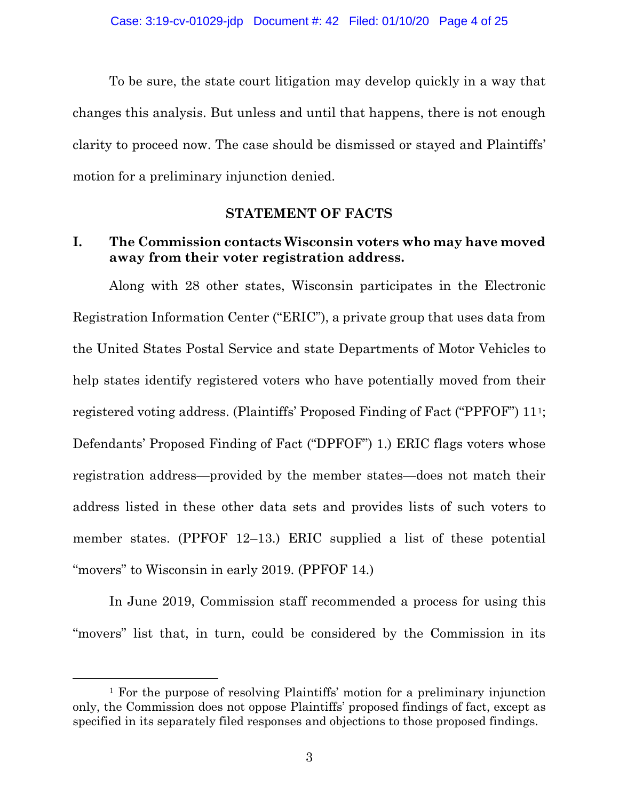To be sure, the state court litigation may develop quickly in a way that changes this analysis. But unless and until that happens, there is not enough clarity to proceed now. The case should be dismissed or stayed and Plaintiffs' motion for a preliminary injunction denied.

### **STATEMENT OF FACTS**

## **I. The Commission contacts Wisconsin voters who may have moved away from their voter registration address.**

Along with 28 other states, Wisconsin participates in the Electronic Registration Information Center ("ERIC"), a private group that uses data from the United States Postal Service and state Departments of Motor Vehicles to help states identify registered voters who have potentially moved from their registered voting address. (Plaintiffs' Proposed Finding of Fact ("PPFOF") 111; Defendants' Proposed Finding of Fact ("DPFOF") 1.) ERIC flags voters whose registration address—provided by the member states—does not match their address listed in these other data sets and provides lists of such voters to member states. (PPFOF 12–13.) ERIC supplied a list of these potential "movers" to Wisconsin in early 2019. (PPFOF 14.)

In June 2019, Commission staff recommended a process for using this "movers" list that, in turn, could be considered by the Commission in its

 <sup>1</sup> For the purpose of resolving Plaintiffs' motion for a preliminary injunction only, the Commission does not oppose Plaintiffs' proposed findings of fact, except as specified in its separately filed responses and objections to those proposed findings.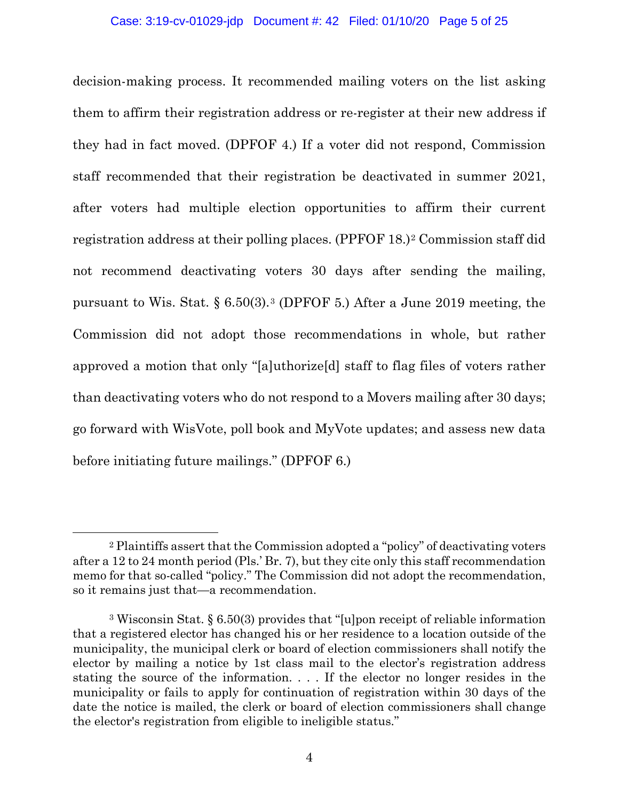decision-making process. It recommended mailing voters on the list asking them to affirm their registration address or re-register at their new address if they had in fact moved. (DPFOF 4.) If a voter did not respond, Commission staff recommended that their registration be deactivated in summer 2021, after voters had multiple election opportunities to affirm their current registration address at their polling places. (PPFOF 18.)2 Commission staff did not recommend deactivating voters 30 days after sending the mailing, pursuant to Wis. Stat. § 6.50(3).3 (DPFOF 5.) After a June 2019 meeting, the Commission did not adopt those recommendations in whole, but rather approved a motion that only "[a]uthorize[d] staff to flag files of voters rather than deactivating voters who do not respond to a Movers mailing after 30 days; go forward with WisVote, poll book and MyVote updates; and assess new data before initiating future mailings." (DPFOF 6.)

 <sup>2</sup> Plaintiffs assert that the Commission adopted a "policy" of deactivating voters after a 12 to 24 month period (Pls.' Br. 7), but they cite only this staff recommendation memo for that so-called "policy." The Commission did not adopt the recommendation, so it remains just that—a recommendation.

<sup>3</sup> Wisconsin Stat. § 6.50(3) provides that "[u]pon receipt of reliable information that a registered elector has changed his or her residence to a location outside of the municipality, the municipal clerk or board of election commissioners shall notify the elector by mailing a notice by 1st class mail to the elector's registration address stating the source of the information. . . . If the elector no longer resides in the municipality or fails to apply for continuation of registration within 30 days of the date the notice is mailed, the clerk or board of election commissioners shall change the elector's registration from eligible to ineligible status."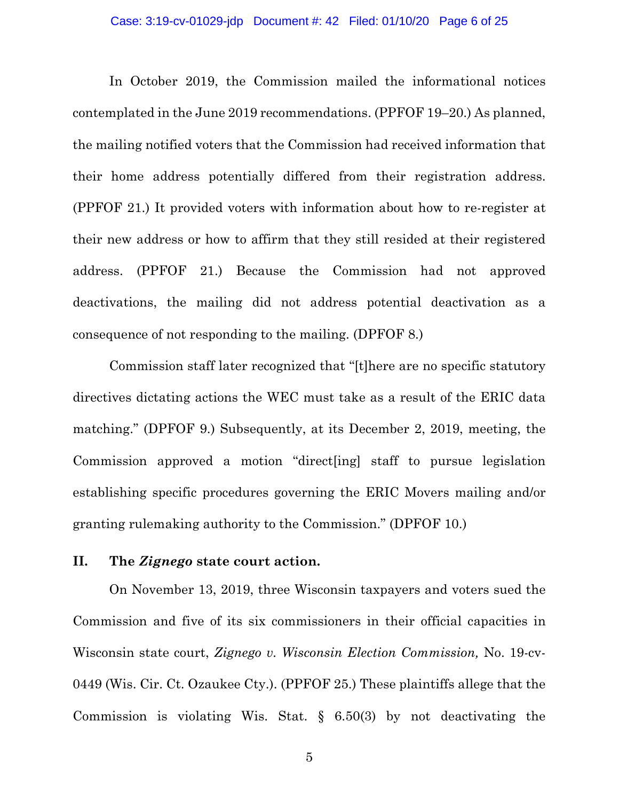In October 2019, the Commission mailed the informational notices contemplated in the June 2019 recommendations. (PPFOF 19–20.) As planned, the mailing notified voters that the Commission had received information that their home address potentially differed from their registration address. (PPFOF 21.) It provided voters with information about how to re-register at their new address or how to affirm that they still resided at their registered address. (PPFOF 21.) Because the Commission had not approved deactivations, the mailing did not address potential deactivation as a consequence of not responding to the mailing. (DPFOF 8.)

Commission staff later recognized that "[t]here are no specific statutory directives dictating actions the WEC must take as a result of the ERIC data matching." (DPFOF 9.) Subsequently, at its December 2, 2019, meeting, the Commission approved a motion "direct[ing] staff to pursue legislation establishing specific procedures governing the ERIC Movers mailing and/or granting rulemaking authority to the Commission." (DPFOF 10.)

### **II. The** *Zignego* **state court action.**

On November 13, 2019, three Wisconsin taxpayers and voters sued the Commission and five of its six commissioners in their official capacities in Wisconsin state court, *Zignego v. Wisconsin Election Commission,* No. 19-cv-0449 (Wis. Cir. Ct. Ozaukee Cty.). (PPFOF 25.) These plaintiffs allege that the Commission is violating Wis. Stat. § 6.50(3) by not deactivating the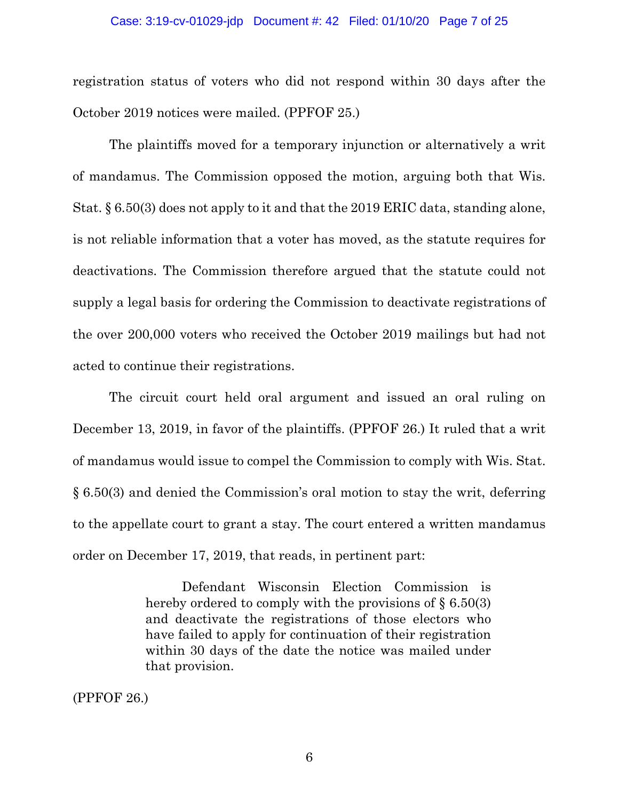#### Case: 3:19-cv-01029-jdp Document #: 42 Filed: 01/10/20 Page 7 of 25

registration status of voters who did not respond within 30 days after the October 2019 notices were mailed. (PPFOF 25.)

The plaintiffs moved for a temporary injunction or alternatively a writ of mandamus. The Commission opposed the motion, arguing both that Wis. Stat. § 6.50(3) does not apply to it and that the 2019 ERIC data, standing alone, is not reliable information that a voter has moved, as the statute requires for deactivations. The Commission therefore argued that the statute could not supply a legal basis for ordering the Commission to deactivate registrations of the over 200,000 voters who received the October 2019 mailings but had not acted to continue their registrations.

The circuit court held oral argument and issued an oral ruling on December 13, 2019, in favor of the plaintiffs. (PPFOF 26.) It ruled that a writ of mandamus would issue to compel the Commission to comply with Wis. Stat. § 6.50(3) and denied the Commission's oral motion to stay the writ, deferring to the appellate court to grant a stay. The court entered a written mandamus order on December 17, 2019, that reads, in pertinent part:

> Defendant Wisconsin Election Commission is hereby ordered to comply with the provisions of  $\S 6.50(3)$ and deactivate the registrations of those electors who have failed to apply for continuation of their registration within 30 days of the date the notice was mailed under that provision.

(PPFOF 26.)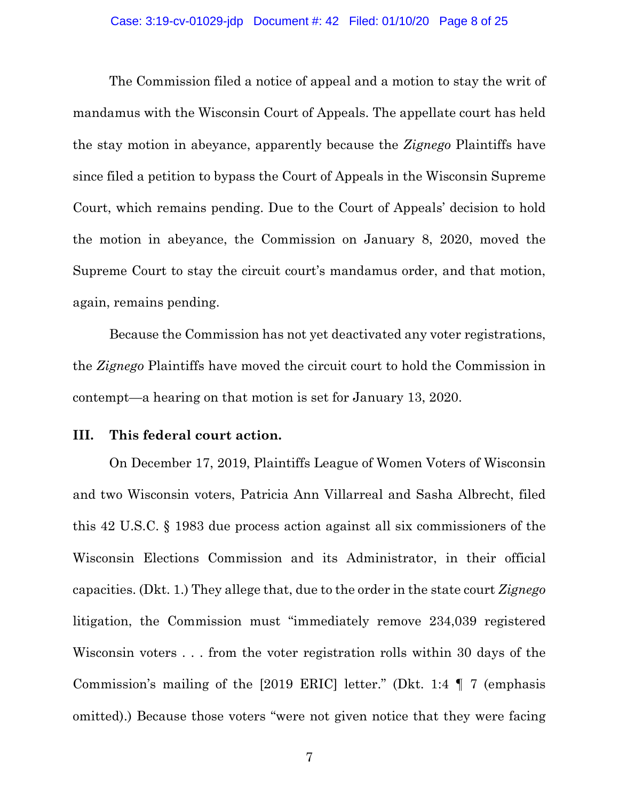The Commission filed a notice of appeal and a motion to stay the writ of mandamus with the Wisconsin Court of Appeals. The appellate court has held the stay motion in abeyance, apparently because the *Zignego* Plaintiffs have since filed a petition to bypass the Court of Appeals in the Wisconsin Supreme Court, which remains pending. Due to the Court of Appeals' decision to hold the motion in abeyance, the Commission on January 8, 2020, moved the Supreme Court to stay the circuit court's mandamus order, and that motion, again, remains pending.

Because the Commission has not yet deactivated any voter registrations, the *Zignego* Plaintiffs have moved the circuit court to hold the Commission in contempt—a hearing on that motion is set for January 13, 2020.

### **III. This federal court action.**

On December 17, 2019, Plaintiffs League of Women Voters of Wisconsin and two Wisconsin voters, Patricia Ann Villarreal and Sasha Albrecht, filed this 42 U.S.C. § 1983 due process action against all six commissioners of the Wisconsin Elections Commission and its Administrator, in their official capacities. (Dkt. 1.) They allege that, due to the order in the state court *Zignego*  litigation, the Commission must "immediately remove 234,039 registered Wisconsin voters . . . from the voter registration rolls within 30 days of the Commission's mailing of the [2019 ERIC] letter." (Dkt. 1:4 ¶ 7 (emphasis omitted).) Because those voters "were not given notice that they were facing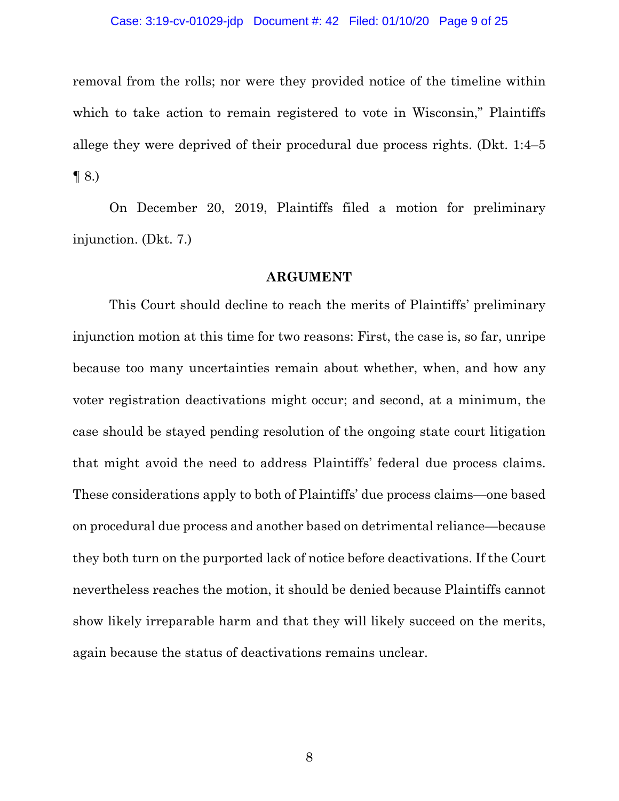#### Case: 3:19-cv-01029-jdp Document #: 42 Filed: 01/10/20 Page 9 of 25

removal from the rolls; nor were they provided notice of the timeline within which to take action to remain registered to vote in Wisconsin," Plaintiffs allege they were deprived of their procedural due process rights. (Dkt. 1:4–5  $\P$  8.)

On December 20, 2019, Plaintiffs filed a motion for preliminary injunction. (Dkt. 7.)

### **ARGUMENT**

This Court should decline to reach the merits of Plaintiffs' preliminary injunction motion at this time for two reasons: First, the case is, so far, unripe because too many uncertainties remain about whether, when, and how any voter registration deactivations might occur; and second, at a minimum, the case should be stayed pending resolution of the ongoing state court litigation that might avoid the need to address Plaintiffs' federal due process claims. These considerations apply to both of Plaintiffs' due process claims—one based on procedural due process and another based on detrimental reliance—because they both turn on the purported lack of notice before deactivations. If the Court nevertheless reaches the motion, it should be denied because Plaintiffs cannot show likely irreparable harm and that they will likely succeed on the merits, again because the status of deactivations remains unclear.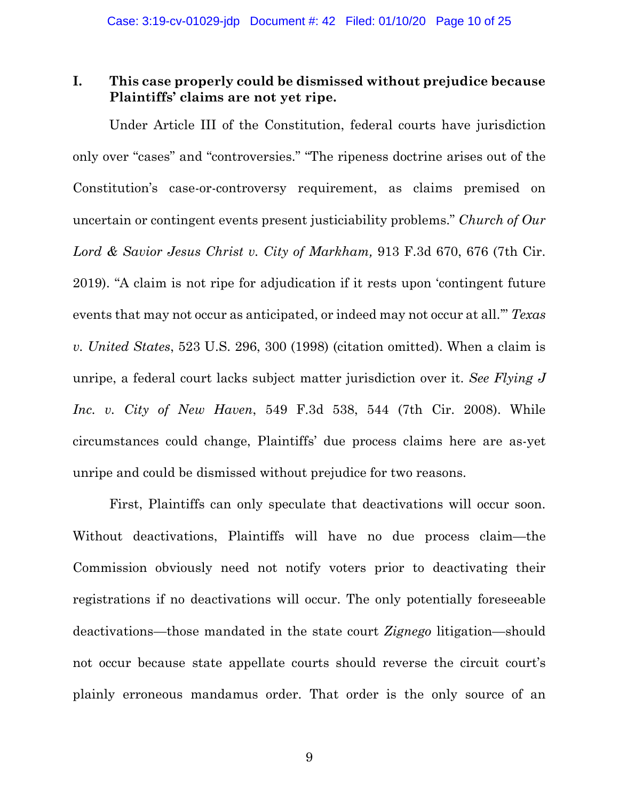## **I. This case properly could be dismissed without prejudice because Plaintiffs' claims are not yet ripe.**

Under Article III of the Constitution, federal courts have jurisdiction only over "cases" and "controversies." "The ripeness doctrine arises out of the Constitution's case-or-controversy requirement, as claims premised on uncertain or contingent events present justiciability problems." *Church of Our Lord & Savior Jesus Christ v. City of Markham,* 913 F.3d 670, 676 (7th Cir. 2019). "A claim is not ripe for adjudication if it rests upon 'contingent future events that may not occur as anticipated, or indeed may not occur at all.'" *Texas v. United States*, 523 U.S. 296, 300 (1998) (citation omitted). When a claim is unripe, a federal court lacks subject matter jurisdiction over it. *See Flying J Inc. v. City of New Haven*, 549 F.3d 538, 544 (7th Cir. 2008). While circumstances could change, Plaintiffs' due process claims here are as-yet unripe and could be dismissed without prejudice for two reasons.

First, Plaintiffs can only speculate that deactivations will occur soon. Without deactivations, Plaintiffs will have no due process claim—the Commission obviously need not notify voters prior to deactivating their registrations if no deactivations will occur. The only potentially foreseeable deactivations—those mandated in the state court *Zignego* litigation—should not occur because state appellate courts should reverse the circuit court's plainly erroneous mandamus order. That order is the only source of an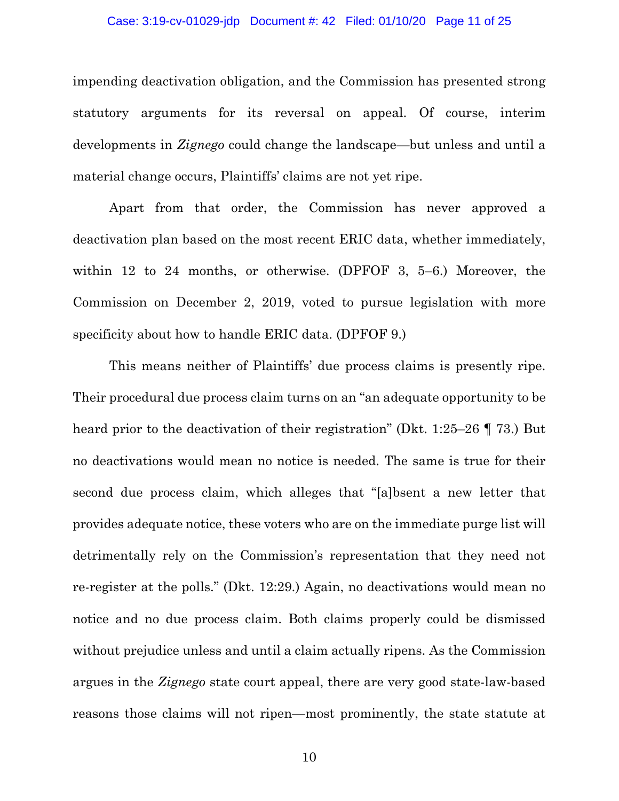#### Case: 3:19-cv-01029-jdp Document #: 42 Filed: 01/10/20 Page 11 of 25

impending deactivation obligation, and the Commission has presented strong statutory arguments for its reversal on appeal. Of course, interim developments in *Zignego* could change the landscape—but unless and until a material change occurs, Plaintiffs' claims are not yet ripe.

Apart from that order, the Commission has never approved a deactivation plan based on the most recent ERIC data, whether immediately, within 12 to 24 months, or otherwise. (DPFOF 3, 5–6.) Moreover, the Commission on December 2, 2019, voted to pursue legislation with more specificity about how to handle ERIC data. (DPFOF 9.)

This means neither of Plaintiffs' due process claims is presently ripe. Their procedural due process claim turns on an "an adequate opportunity to be heard prior to the deactivation of their registration" (Dkt. 1:25–26 ¶ 73.) But no deactivations would mean no notice is needed. The same is true for their second due process claim, which alleges that "[a]bsent a new letter that provides adequate notice, these voters who are on the immediate purge list will detrimentally rely on the Commission's representation that they need not re-register at the polls." (Dkt. 12:29.) Again, no deactivations would mean no notice and no due process claim. Both claims properly could be dismissed without prejudice unless and until a claim actually ripens. As the Commission argues in the *Zignego* state court appeal, there are very good state-law-based reasons those claims will not ripen—most prominently, the state statute at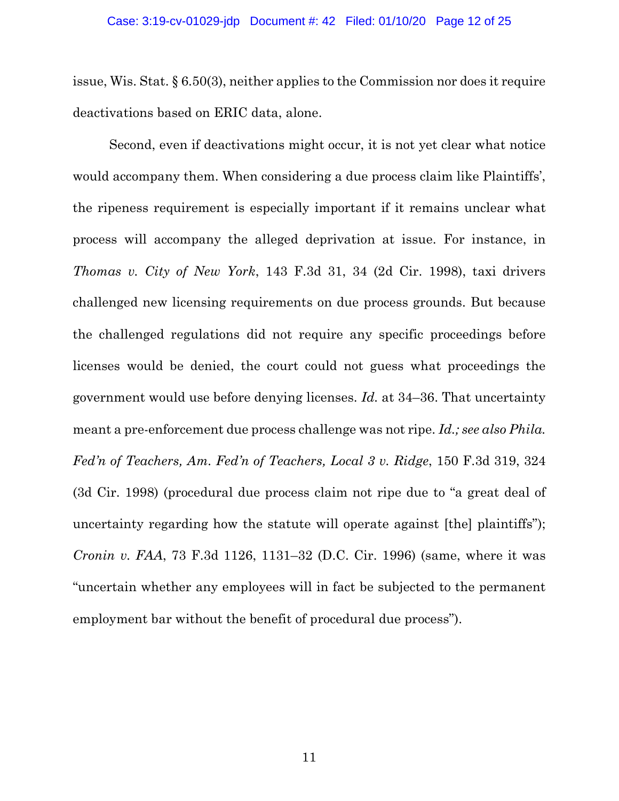issue, Wis. Stat. § 6.50(3), neither applies to the Commission nor does it require deactivations based on ERIC data, alone.

Second, even if deactivations might occur, it is not yet clear what notice would accompany them. When considering a due process claim like Plaintiffs', the ripeness requirement is especially important if it remains unclear what process will accompany the alleged deprivation at issue. For instance, in *Thomas v. City of New York*, 143 F.3d 31, 34 (2d Cir. 1998), taxi drivers challenged new licensing requirements on due process grounds. But because the challenged regulations did not require any specific proceedings before licenses would be denied, the court could not guess what proceedings the government would use before denying licenses. *Id.* at 34–36. That uncertainty meant a pre-enforcement due process challenge was not ripe. *Id.; see also Phila. Fed'n of Teachers, Am. Fed'n of Teachers, Local 3 v. Ridge*, 150 F.3d 319, 324 (3d Cir. 1998) (procedural due process claim not ripe due to "a great deal of uncertainty regarding how the statute will operate against [the] plaintiffs"); *Cronin v. FAA*, 73 F.3d 1126, 1131–32 (D.C. Cir. 1996) (same, where it was "uncertain whether any employees will in fact be subjected to the permanent employment bar without the benefit of procedural due process").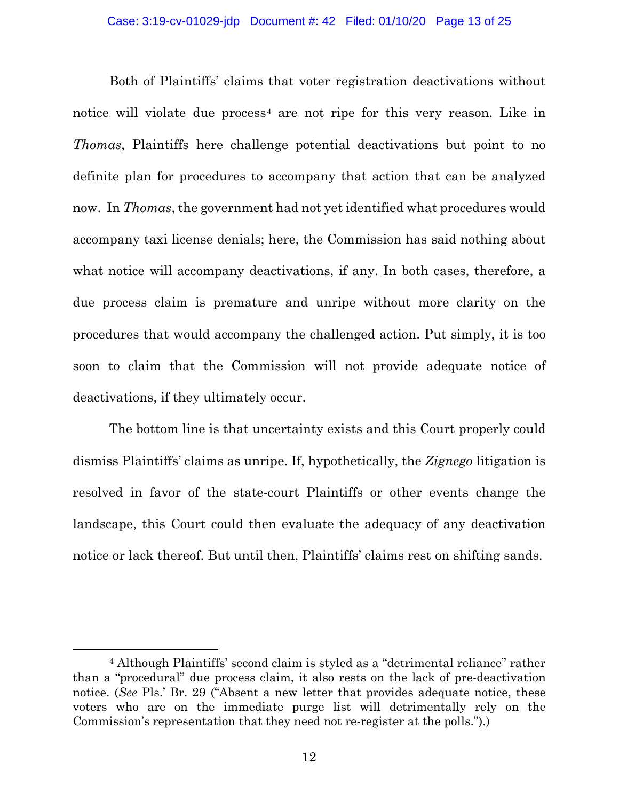Both of Plaintiffs' claims that voter registration deactivations without notice will violate due process<sup>4</sup> are not ripe for this very reason. Like in *Thomas*, Plaintiffs here challenge potential deactivations but point to no definite plan for procedures to accompany that action that can be analyzed now. In *Thomas*, the government had not yet identified what procedures would accompany taxi license denials; here, the Commission has said nothing about what notice will accompany deactivations, if any. In both cases, therefore, a due process claim is premature and unripe without more clarity on the procedures that would accompany the challenged action. Put simply, it is too soon to claim that the Commission will not provide adequate notice of deactivations, if they ultimately occur.

The bottom line is that uncertainty exists and this Court properly could dismiss Plaintiffs' claims as unripe. If, hypothetically, the *Zignego* litigation is resolved in favor of the state-court Plaintiffs or other events change the landscape, this Court could then evaluate the adequacy of any deactivation notice or lack thereof. But until then, Plaintiffs' claims rest on shifting sands.

 <sup>4</sup> Although Plaintiffs' second claim is styled as a "detrimental reliance" rather than a "procedural" due process claim, it also rests on the lack of pre-deactivation notice. (*See* Pls.' Br. 29 ("Absent a new letter that provides adequate notice, these voters who are on the immediate purge list will detrimentally rely on the Commission's representation that they need not re-register at the polls.").)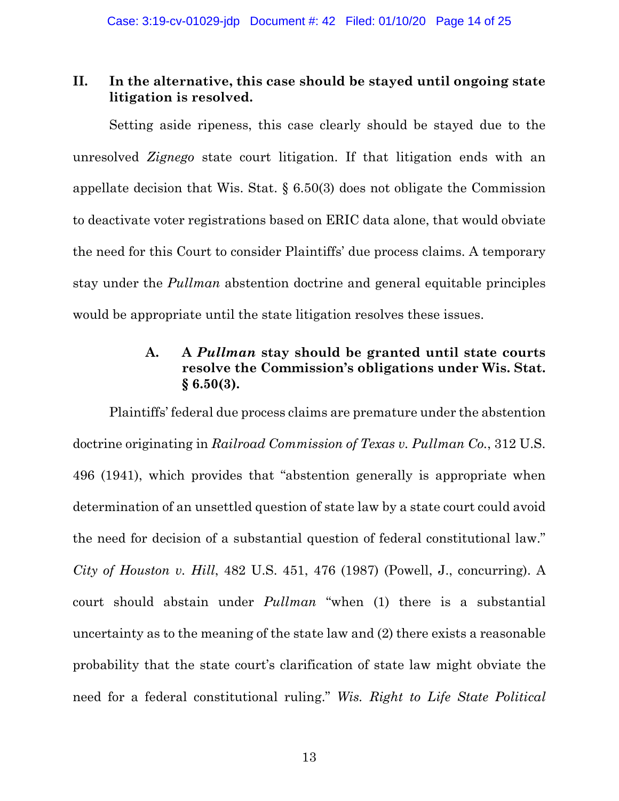## **II. In the alternative, this case should be stayed until ongoing state litigation is resolved.**

Setting aside ripeness, this case clearly should be stayed due to the unresolved *Zignego* state court litigation. If that litigation ends with an appellate decision that Wis. Stat. § 6.50(3) does not obligate the Commission to deactivate voter registrations based on ERIC data alone, that would obviate the need for this Court to consider Plaintiffs' due process claims. A temporary stay under the *Pullman* abstention doctrine and general equitable principles would be appropriate until the state litigation resolves these issues.

# **A. A** *Pullman* **stay should be granted until state courts resolve the Commission's obligations under Wis. Stat. § 6.50(3).**

Plaintiffs' federal due process claims are premature under the abstention doctrine originating in *Railroad Commission of Texas v. Pullman Co.*, 312 U.S. 496 (1941), which provides that "abstention generally is appropriate when determination of an unsettled question of state law by a state court could avoid the need for decision of a substantial question of federal constitutional law." *City of Houston v. Hill*, 482 U.S. 451, 476 (1987) (Powell, J., concurring). A court should abstain under *Pullman* "when (1) there is a substantial uncertainty as to the meaning of the state law and (2) there exists a reasonable probability that the state court's clarification of state law might obviate the need for a federal constitutional ruling." *Wis. Right to Life State Political*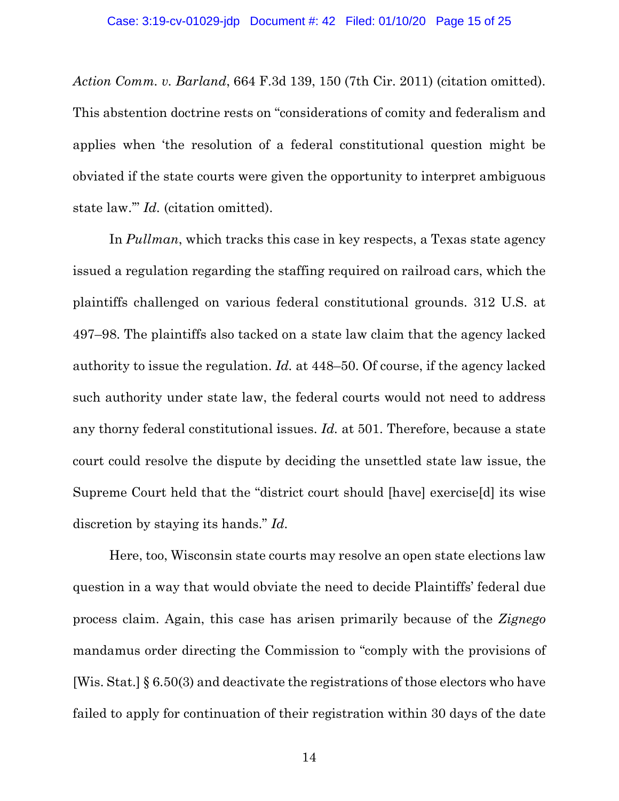*Action Comm. v. Barland*, 664 F.3d 139, 150 (7th Cir. 2011) (citation omitted). This abstention doctrine rests on "considerations of comity and federalism and applies when 'the resolution of a federal constitutional question might be obviated if the state courts were given the opportunity to interpret ambiguous state law.'" *Id.* (citation omitted).

In *Pullman*, which tracks this case in key respects, a Texas state agency issued a regulation regarding the staffing required on railroad cars, which the plaintiffs challenged on various federal constitutional grounds. 312 U.S. at 497–98. The plaintiffs also tacked on a state law claim that the agency lacked authority to issue the regulation. *Id.* at 448–50. Of course, if the agency lacked such authority under state law, the federal courts would not need to address any thorny federal constitutional issues. *Id.* at 501. Therefore, because a state court could resolve the dispute by deciding the unsettled state law issue, the Supreme Court held that the "district court should [have] exercise[d] its wise discretion by staying its hands." *Id.*

Here, too, Wisconsin state courts may resolve an open state elections law question in a way that would obviate the need to decide Plaintiffs' federal due process claim. Again, this case has arisen primarily because of the *Zignego* mandamus order directing the Commission to "comply with the provisions of [Wis. Stat.] § 6.50(3) and deactivate the registrations of those electors who have failed to apply for continuation of their registration within 30 days of the date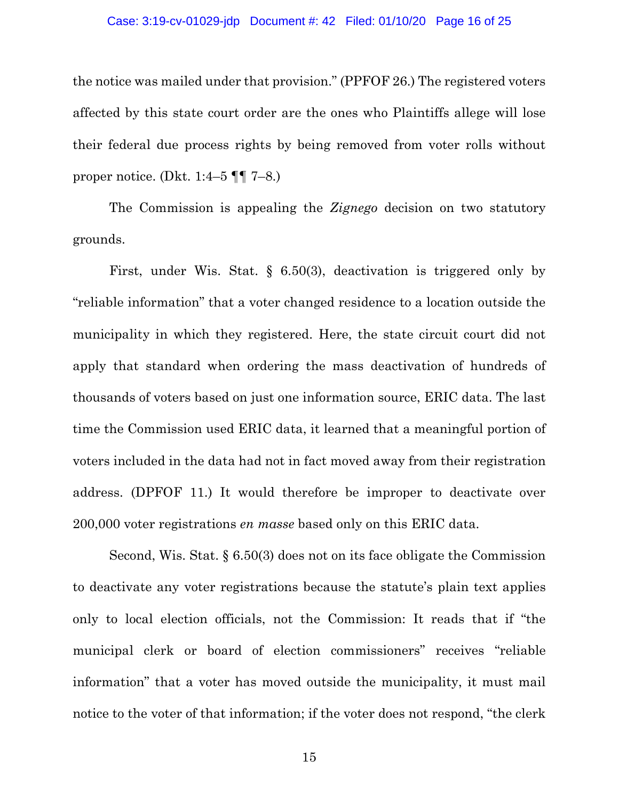#### Case: 3:19-cv-01029-jdp Document #: 42 Filed: 01/10/20 Page 16 of 25

the notice was mailed under that provision." (PPFOF 26.) The registered voters affected by this state court order are the ones who Plaintiffs allege will lose their federal due process rights by being removed from voter rolls without proper notice. (Dkt. 1:4–5  $\P$  $\P$  7–8.)

The Commission is appealing the *Zignego* decision on two statutory grounds.

First, under Wis. Stat. § 6.50(3), deactivation is triggered only by "reliable information" that a voter changed residence to a location outside the municipality in which they registered. Here, the state circuit court did not apply that standard when ordering the mass deactivation of hundreds of thousands of voters based on just one information source, ERIC data. The last time the Commission used ERIC data, it learned that a meaningful portion of voters included in the data had not in fact moved away from their registration address. (DPFOF 11.) It would therefore be improper to deactivate over 200,000 voter registrations *en masse* based only on this ERIC data.

Second, Wis. Stat. § 6.50(3) does not on its face obligate the Commission to deactivate any voter registrations because the statute's plain text applies only to local election officials, not the Commission: It reads that if "the municipal clerk or board of election commissioners" receives "reliable information" that a voter has moved outside the municipality, it must mail notice to the voter of that information; if the voter does not respond, "the clerk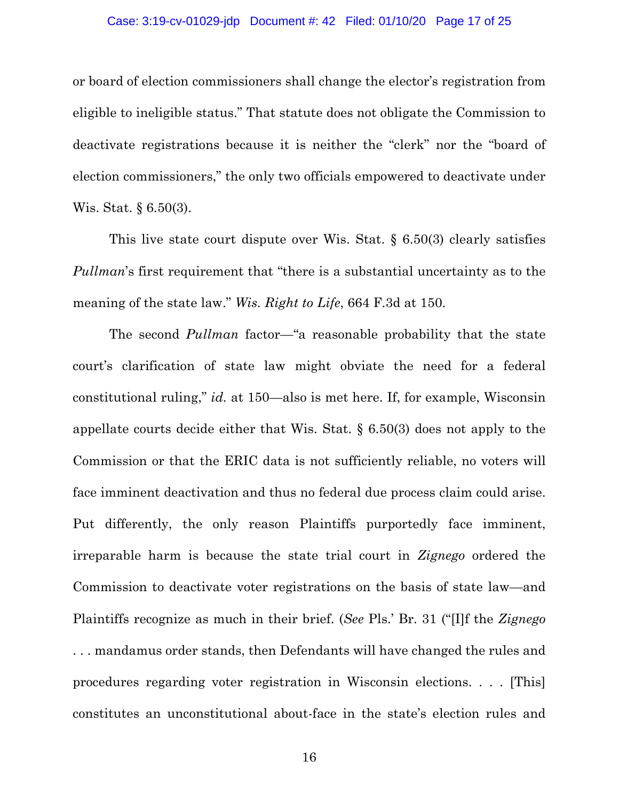### Case: 3:19-cv-01029-jdp Document #: 42 Filed: 01/10/20 Page 17 of 25

or board of election commissioners shall change the elector's registration from eligible to ineligible status." That statute does not obligate the Commission to deactivate registrations because it is neither the "clerk" nor the "board of election commissioners," the only two officials empowered to deactivate under Wis. Stat. § 6.50(3).

This live state court dispute over Wis. Stat. § 6.50(3) clearly satisfies *Pullman*'s first requirement that "there is a substantial uncertainty as to the meaning of the state law." *Wis. Right to Life*, 664 F.3d at 150.

The second *Pullman* factor—"a reasonable probability that the state court's clarification of state law might obviate the need for a federal constitutional ruling," *id.* at 150—also is met here. If, for example, Wisconsin appellate courts decide either that Wis. Stat. § 6.50(3) does not apply to the Commission or that the ERIC data is not sufficiently reliable, no voters will face imminent deactivation and thus no federal due process claim could arise. Put differently, the only reason Plaintiffs purportedly face imminent, irreparable harm is because the state trial court in *Zignego* ordered the Commission to deactivate voter registrations on the basis of state law—and Plaintiffs recognize as much in their brief. (*See* Pls.' Br. 31 ("[I]f the *Zignego* . . . mandamus order stands, then Defendants will have changed the rules and procedures regarding voter registration in Wisconsin elections. . . . [This] constitutes an unconstitutional about-face in the state's election rules and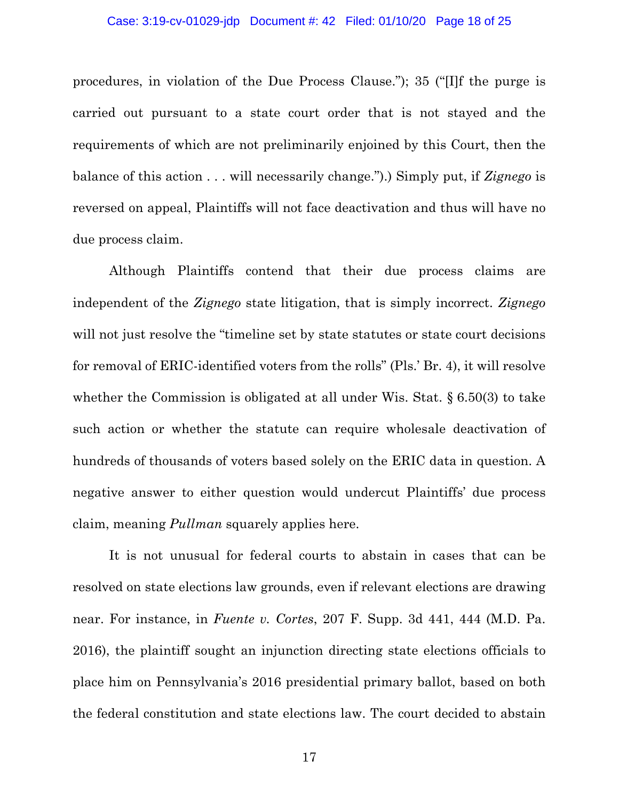#### Case: 3:19-cv-01029-jdp Document #: 42 Filed: 01/10/20 Page 18 of 25

procedures, in violation of the Due Process Clause."); 35 ("[I]f the purge is carried out pursuant to a state court order that is not stayed and the requirements of which are not preliminarily enjoined by this Court, then the balance of this action . . . will necessarily change.").) Simply put, if *Zignego* is reversed on appeal, Plaintiffs will not face deactivation and thus will have no due process claim.

Although Plaintiffs contend that their due process claims are independent of the *Zignego* state litigation, that is simply incorrect. *Zignego*  will not just resolve the "timeline set by state statutes or state court decisions" for removal of ERIC-identified voters from the rolls" (Pls.' Br. 4), it will resolve whether the Commission is obligated at all under Wis. Stat. § 6.50(3) to take such action or whether the statute can require wholesale deactivation of hundreds of thousands of voters based solely on the ERIC data in question. A negative answer to either question would undercut Plaintiffs' due process claim, meaning *Pullman* squarely applies here.

It is not unusual for federal courts to abstain in cases that can be resolved on state elections law grounds, even if relevant elections are drawing near. For instance, in *Fuente v. Cortes*, 207 F. Supp. 3d 441, 444 (M.D. Pa. 2016), the plaintiff sought an injunction directing state elections officials to place him on Pennsylvania's 2016 presidential primary ballot, based on both the federal constitution and state elections law. The court decided to abstain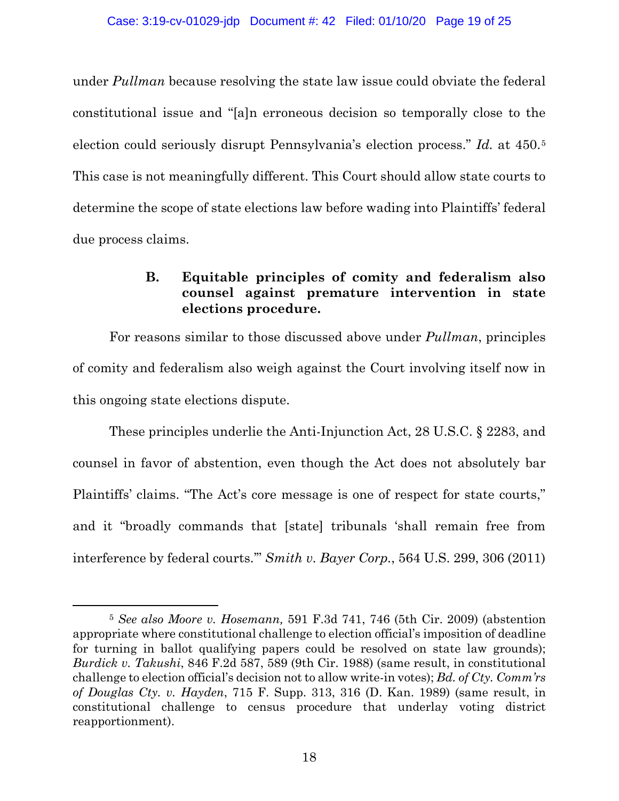under *Pullman* because resolving the state law issue could obviate the federal constitutional issue and "[a]n erroneous decision so temporally close to the election could seriously disrupt Pennsylvania's election process." *Id.* at 450.5 This case is not meaningfully different. This Court should allow state courts to determine the scope of state elections law before wading into Plaintiffs' federal due process claims.

# **B. Equitable principles of comity and federalism also counsel against premature intervention in state elections procedure.**

For reasons similar to those discussed above under *Pullman*, principles of comity and federalism also weigh against the Court involving itself now in this ongoing state elections dispute.

These principles underlie the Anti-Injunction Act, 28 U.S.C. § 2283, and counsel in favor of abstention, even though the Act does not absolutely bar Plaintiffs' claims. "The Act's core message is one of respect for state courts," and it "broadly commands that [state] tribunals 'shall remain free from interference by federal courts.'" *Smith v. Bayer Corp.*, 564 U.S. 299, 306 (2011)

 <sup>5</sup> *See also Moore v. Hosemann,* 591 F.3d 741, 746 (5th Cir. 2009) (abstention appropriate where constitutional challenge to election official's imposition of deadline for turning in ballot qualifying papers could be resolved on state law grounds); *Burdick v. Takushi*, 846 F.2d 587, 589 (9th Cir. 1988) (same result, in constitutional challenge to election official's decision not to allow write-in votes); *Bd. of Cty. Comm'rs of Douglas Cty. v. Hayden*, 715 F. Supp. 313, 316 (D. Kan. 1989) (same result, in constitutional challenge to census procedure that underlay voting district reapportionment).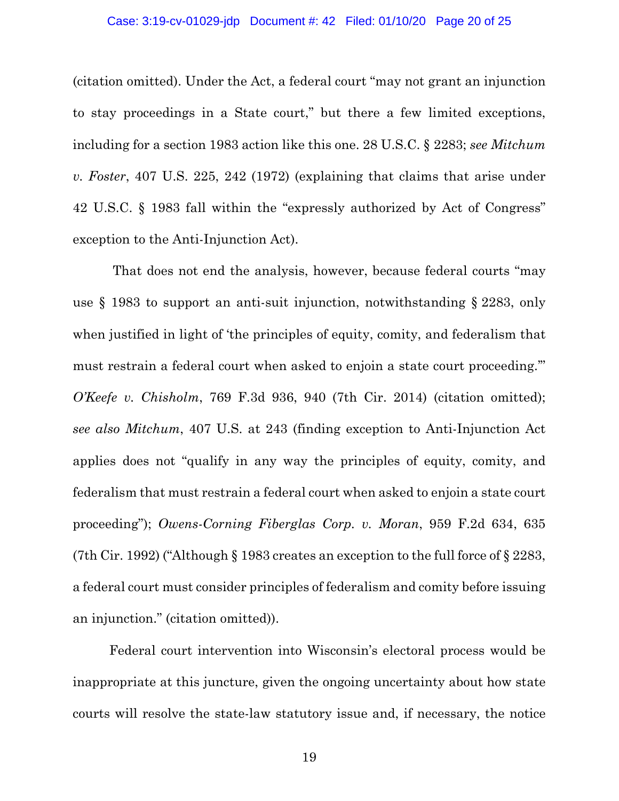#### Case: 3:19-cv-01029-jdp Document #: 42 Filed: 01/10/20 Page 20 of 25

(citation omitted). Under the Act, a federal court "may not grant an injunction to stay proceedings in a State court," but there a few limited exceptions, including for a section 1983 action like this one. 28 U.S.C. § 2283; *see Mitchum v. Foster*, 407 U.S. 225, 242 (1972) (explaining that claims that arise under 42 U.S.C. § 1983 fall within the "expressly authorized by Act of Congress" exception to the Anti-Injunction Act).

That does not end the analysis, however, because federal courts "may use § 1983 to support an anti-suit injunction, notwithstanding § 2283, only when justified in light of 'the principles of equity, comity, and federalism that must restrain a federal court when asked to enjoin a state court proceeding.'" *O'Keefe v. Chisholm*, 769 F.3d 936, 940 (7th Cir. 2014) (citation omitted); *see also Mitchum*, 407 U.S. at 243 (finding exception to Anti-Injunction Act applies does not "qualify in any way the principles of equity, comity, and federalism that must restrain a federal court when asked to enjoin a state court proceeding"); *Owens-Corning Fiberglas Corp. v. Moran*, 959 F.2d 634, 635 (7th Cir. 1992) ("Although § 1983 creates an exception to the full force of § 2283, a federal court must consider principles of federalism and comity before issuing an injunction." (citation omitted)).

Federal court intervention into Wisconsin's electoral process would be inappropriate at this juncture, given the ongoing uncertainty about how state courts will resolve the state-law statutory issue and, if necessary, the notice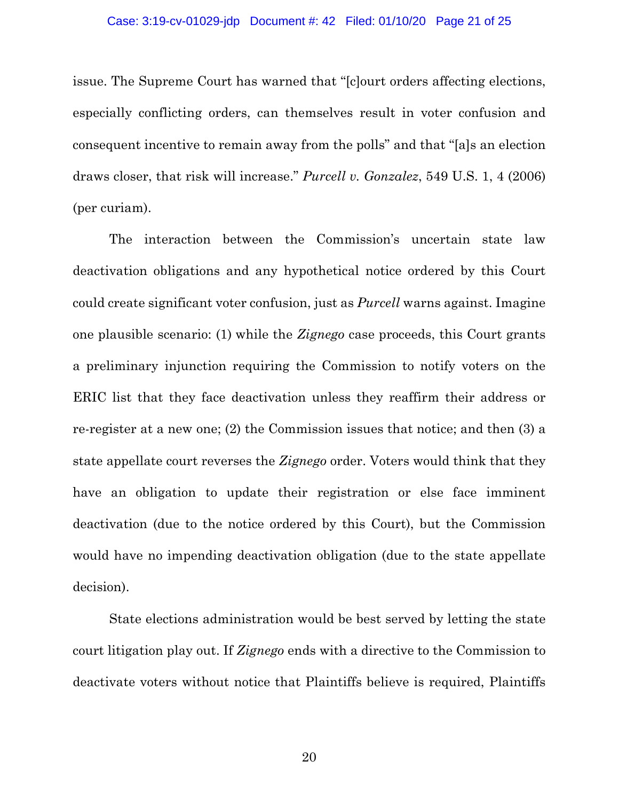#### Case: 3:19-cv-01029-jdp Document #: 42 Filed: 01/10/20 Page 21 of 25

issue. The Supreme Court has warned that "[c]ourt orders affecting elections, especially conflicting orders, can themselves result in voter confusion and consequent incentive to remain away from the polls" and that "[a]s an election draws closer, that risk will increase." *Purcell v. Gonzalez*, 549 U.S. 1, 4 (2006) (per curiam).

The interaction between the Commission's uncertain state law deactivation obligations and any hypothetical notice ordered by this Court could create significant voter confusion, just as *Purcell* warns against. Imagine one plausible scenario: (1) while the *Zignego* case proceeds, this Court grants a preliminary injunction requiring the Commission to notify voters on the ERIC list that they face deactivation unless they reaffirm their address or re-register at a new one; (2) the Commission issues that notice; and then (3) a state appellate court reverses the *Zignego* order. Voters would think that they have an obligation to update their registration or else face imminent deactivation (due to the notice ordered by this Court), but the Commission would have no impending deactivation obligation (due to the state appellate decision).

State elections administration would be best served by letting the state court litigation play out. If *Zignego* ends with a directive to the Commission to deactivate voters without notice that Plaintiffs believe is required, Plaintiffs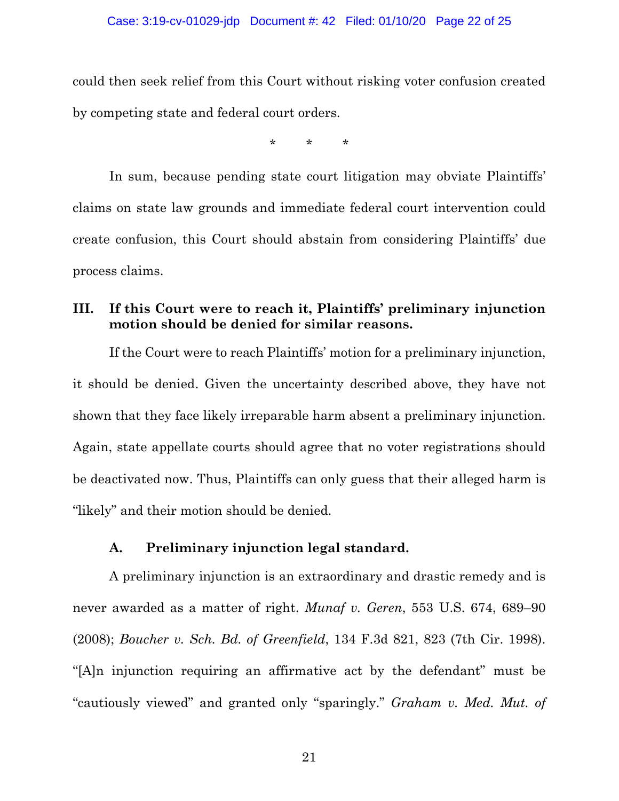### Case: 3:19-cv-01029-jdp Document #: 42 Filed: 01/10/20 Page 22 of 25

could then seek relief from this Court without risking voter confusion created by competing state and federal court orders.

\* \* \*

In sum, because pending state court litigation may obviate Plaintiffs' claims on state law grounds and immediate federal court intervention could create confusion, this Court should abstain from considering Plaintiffs' due process claims.

## **III. If this Court were to reach it, Plaintiffs' preliminary injunction motion should be denied for similar reasons.**

If the Court were to reach Plaintiffs' motion for a preliminary injunction, it should be denied. Given the uncertainty described above, they have not shown that they face likely irreparable harm absent a preliminary injunction. Again, state appellate courts should agree that no voter registrations should be deactivated now. Thus, Plaintiffs can only guess that their alleged harm is "likely" and their motion should be denied.

### **A. Preliminary injunction legal standard.**

A preliminary injunction is an extraordinary and drastic remedy and is never awarded as a matter of right. *Munaf v. Geren*, 553 U.S. 674, 689–90 (2008); *Boucher v. Sch. Bd. of Greenfield*, 134 F.3d 821, 823 (7th Cir. 1998). "[A]n injunction requiring an affirmative act by the defendant" must be "cautiously viewed" and granted only "sparingly." *Graham v. Med. Mut. of*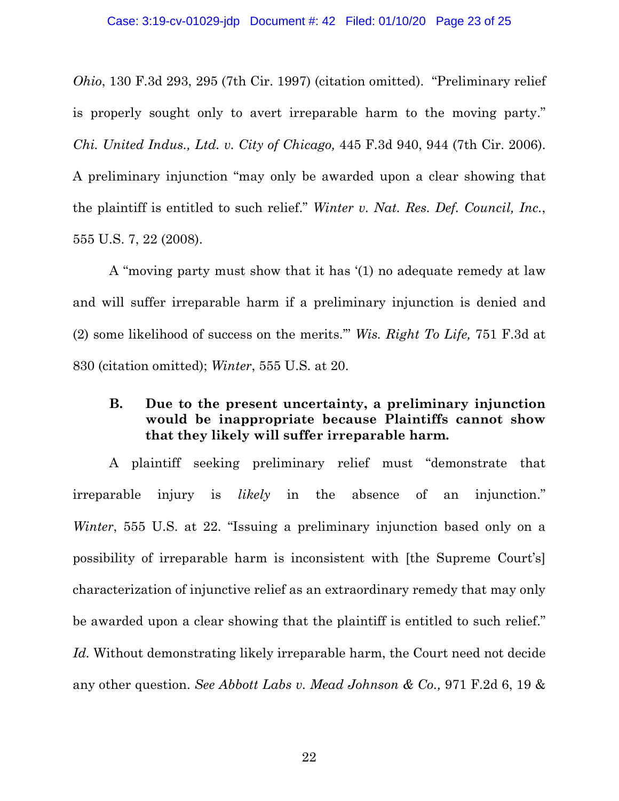*Ohio*, 130 F.3d 293, 295 (7th Cir. 1997) (citation omitted). "Preliminary relief is properly sought only to avert irreparable harm to the moving party." *Chi. United Indus., Ltd. v. City of Chicago,* 445 F.3d 940, 944 (7th Cir. 2006). A preliminary injunction "may only be awarded upon a clear showing that the plaintiff is entitled to such relief." *Winter v. Nat. Res. Def. Council, Inc.*, 555 U.S. 7, 22 (2008).

A "moving party must show that it has '(1) no adequate remedy at law and will suffer irreparable harm if a preliminary injunction is denied and (2) some likelihood of success on the merits.'" *Wis. Right To Life,* 751 F.3d at 830 (citation omitted); *Winter*, 555 U.S. at 20.

## **B. Due to the present uncertainty, a preliminary injunction would be inappropriate because Plaintiffs cannot show that they likely will suffer irreparable harm.**

A plaintiff seeking preliminary relief must "demonstrate that irreparable injury is *likely* in the absence of an injunction." *Winter*, 555 U.S. at 22. "Issuing a preliminary injunction based only on a possibility of irreparable harm is inconsistent with [the Supreme Court's] characterization of injunctive relief as an extraordinary remedy that may only be awarded upon a clear showing that the plaintiff is entitled to such relief." *Id.* Without demonstrating likely irreparable harm, the Court need not decide any other question. *See Abbott Labs v. Mead Johnson & Co.,* 971 F.2d 6, 19 &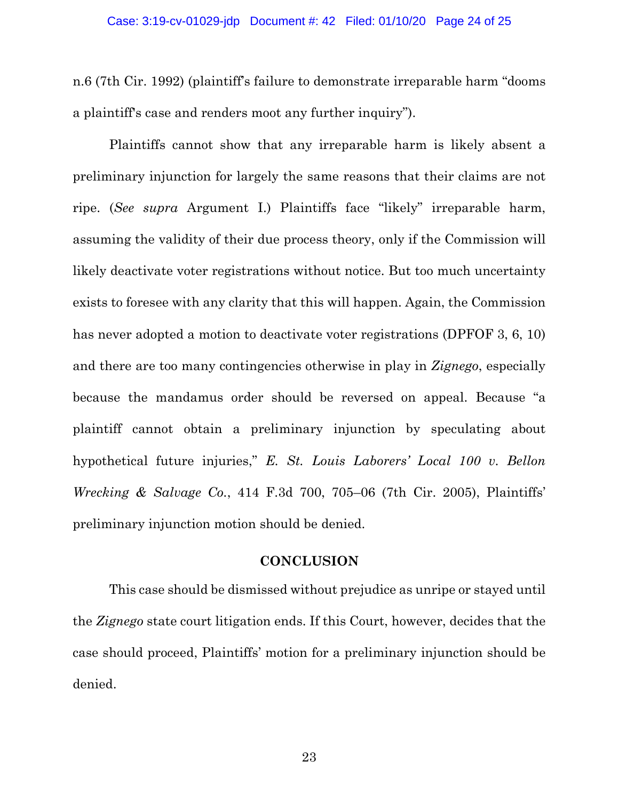n.6 (7th Cir. 1992) (plaintiff's failure to demonstrate irreparable harm "dooms a plaintiff's case and renders moot any further inquiry").

Plaintiffs cannot show that any irreparable harm is likely absent a preliminary injunction for largely the same reasons that their claims are not ripe. (*See supra* Argument I.) Plaintiffs face "likely" irreparable harm, assuming the validity of their due process theory, only if the Commission will likely deactivate voter registrations without notice. But too much uncertainty exists to foresee with any clarity that this will happen. Again, the Commission has never adopted a motion to deactivate voter registrations (DPFOF 3, 6, 10) and there are too many contingencies otherwise in play in *Zignego*, especially because the mandamus order should be reversed on appeal. Because "a plaintiff cannot obtain a preliminary injunction by speculating about hypothetical future injuries," *E. St. Louis Laborers' Local 100 v. Bellon Wrecking & Salvage Co.*, 414 F.3d 700, 705–06 (7th Cir. 2005), Plaintiffs' preliminary injunction motion should be denied.

### **CONCLUSION**

This case should be dismissed without prejudice as unripe or stayed until the *Zignego* state court litigation ends. If this Court, however, decides that the case should proceed, Plaintiffs' motion for a preliminary injunction should be denied.